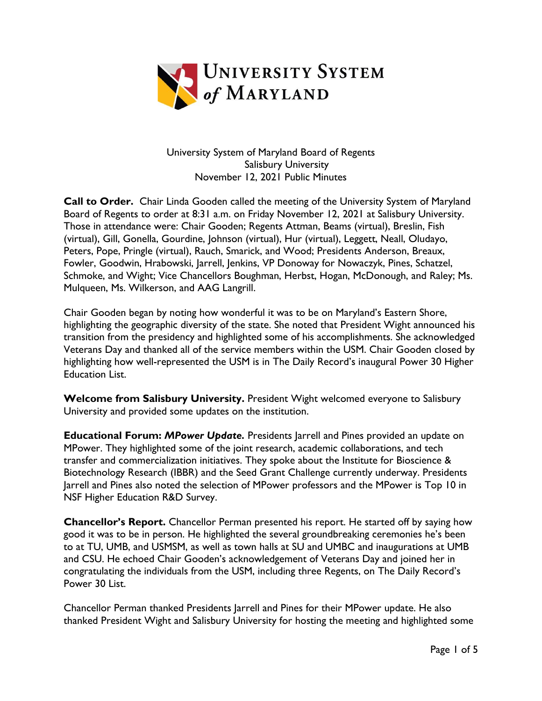

University System of Maryland Board of Regents Salisbury University November 12, 2021 Public Minutes

**Call to Order.** Chair Linda Gooden called the meeting of the University System of Maryland Board of Regents to order at 8:31 a.m. on Friday November 12, 2021 at Salisbury University. Those in attendance were: Chair Gooden; Regents Attman, Beams (virtual), Breslin, Fish (virtual), Gill, Gonella, Gourdine, Johnson (virtual), Hur (virtual), Leggett, Neall, Oludayo, Peters, Pope, Pringle (virtual), Rauch, Smarick, and Wood; Presidents Anderson, Breaux, Fowler, Goodwin, Hrabowski, Jarrell, Jenkins, VP Donoway for Nowaczyk, Pines, Schatzel, Schmoke, and Wight; Vice Chancellors Boughman, Herbst, Hogan, McDonough, and Raley; Ms. Mulqueen, Ms. Wilkerson, and AAG Langrill.

Chair Gooden began by noting how wonderful it was to be on Maryland's Eastern Shore, highlighting the geographic diversity of the state. She noted that President Wight announced his transition from the presidency and highlighted some of his accomplishments. She acknowledged Veterans Day and thanked all of the service members within the USM. Chair Gooden closed by highlighting how well-represented the USM is in The Daily Record's inaugural Power 30 Higher Education List.

**Welcome from Salisbury University.** President Wight welcomed everyone to Salisbury University and provided some updates on the institution.

**Educational Forum:** *MPower Update.* Presidents Jarrell and Pines provided an update on MPower. They highlighted some of the joint research, academic collaborations, and tech transfer and commercialization initiatives. They spoke about the Institute for Bioscience & Biotechnology Research (IBBR) and the Seed Grant Challenge currently underway. Presidents Jarrell and Pines also noted the selection of MPower professors and the MPower is Top 10 in NSF Higher Education R&D Survey.

**Chancellor's Report.** Chancellor Perman presented his report. He started off by saying how good it was to be in person. He highlighted the several groundbreaking ceremonies he's been to at TU, UMB, and USMSM, as well as town halls at SU and UMBC and inaugurations at UMB and CSU. He echoed Chair Gooden's acknowledgement of Veterans Day and joined her in congratulating the individuals from the USM, including three Regents, on The Daily Record's Power 30 List.

Chancellor Perman thanked Presidents Jarrell and Pines for their MPower update. He also thanked President Wight and Salisbury University for hosting the meeting and highlighted some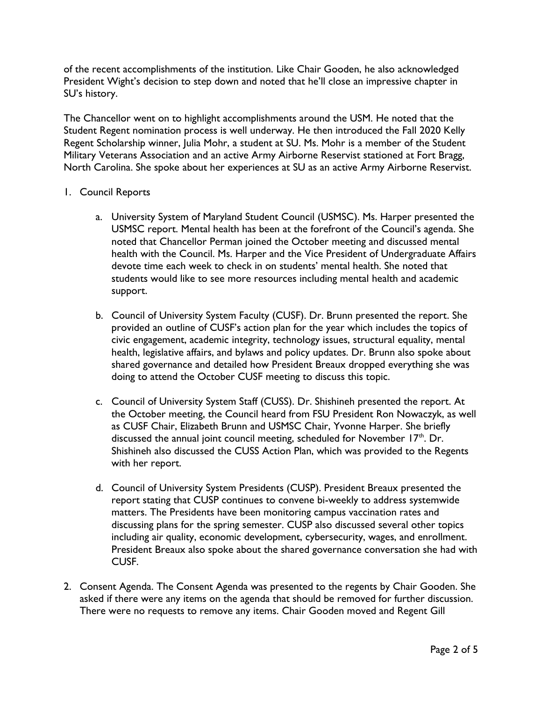of the recent accomplishments of the institution. Like Chair Gooden, he also acknowledged President Wight's decision to step down and noted that he'll close an impressive chapter in SU's history.

The Chancellor went on to highlight accomplishments around the USM. He noted that the Student Regent nomination process is well underway. He then introduced the Fall 2020 Kelly Regent Scholarship winner, Julia Mohr, a student at SU. Ms. Mohr is a member of the Student Military Veterans Association and an active Army Airborne Reservist stationed at Fort Bragg, North Carolina. She spoke about her experiences at SU as an active Army Airborne Reservist.

## 1. Council Reports

- a. University System of Maryland Student Council (USMSC). Ms. Harper presented the USMSC report. Mental health has been at the forefront of the Council's agenda. She noted that Chancellor Perman joined the October meeting and discussed mental health with the Council. Ms. Harper and the Vice President of Undergraduate Affairs devote time each week to check in on students' mental health. She noted that students would like to see more resources including mental health and academic support.
- b. Council of University System Faculty (CUSF). Dr. Brunn presented the report. She provided an outline of CUSF's action plan for the year which includes the topics of civic engagement, academic integrity, technology issues, structural equality, mental health, legislative affairs, and bylaws and policy updates. Dr. Brunn also spoke about shared governance and detailed how President Breaux dropped everything she was doing to attend the October CUSF meeting to discuss this topic.
- c. Council of University System Staff (CUSS). Dr. Shishineh presented the report. At the October meeting, the Council heard from FSU President Ron Nowaczyk, as well as CUSF Chair, Elizabeth Brunn and USMSC Chair, Yvonne Harper. She briefly discussed the annual joint council meeting, scheduled for November  $17<sup>th</sup>$ . Dr. Shishineh also discussed the CUSS Action Plan, which was provided to the Regents with her report.
- d. Council of University System Presidents (CUSP). President Breaux presented the report stating that CUSP continues to convene bi-weekly to address systemwide matters. The Presidents have been monitoring campus vaccination rates and discussing plans for the spring semester. CUSP also discussed several other topics including air quality, economic development, cybersecurity, wages, and enrollment. President Breaux also spoke about the shared governance conversation she had with CUSF.
- 2. Consent Agenda. The Consent Agenda was presented to the regents by Chair Gooden. She asked if there were any items on the agenda that should be removed for further discussion. There were no requests to remove any items. Chair Gooden moved and Regent Gill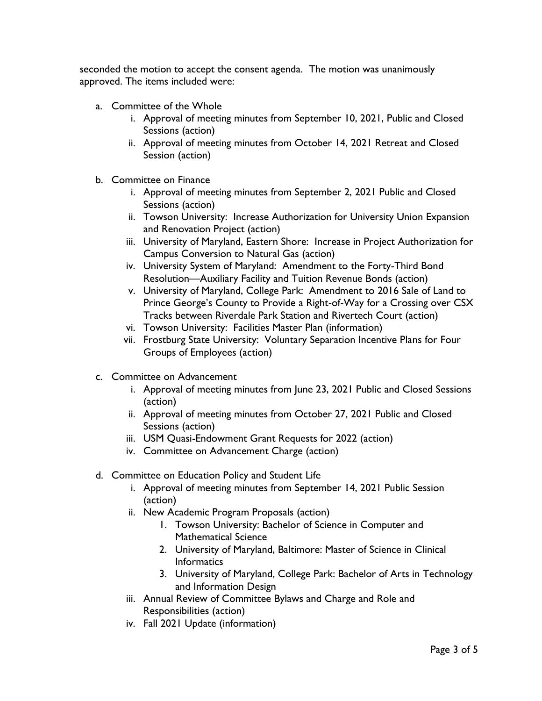seconded the motion to accept the consent agenda. The motion was unanimously approved. The items included were:

- a. Committee of the Whole
	- i. Approval of meeting minutes from September 10, 2021, Public and Closed Sessions (action)
	- ii. Approval of meeting minutes from October 14, 2021 Retreat and Closed Session (action)
- b. Committee on Finance
	- i. Approval of meeting minutes from September 2, 2021 Public and Closed Sessions (action)
	- ii. Towson University: Increase Authorization for University Union Expansion and Renovation Project (action)
	- iii. University of Maryland, Eastern Shore: Increase in Project Authorization for Campus Conversion to Natural Gas (action)
	- iv. University System of Maryland: Amendment to the Forty-Third Bond Resolution—Auxiliary Facility and Tuition Revenue Bonds (action)
	- v. University of Maryland, College Park: Amendment to 2016 Sale of Land to Prince George's County to Provide a Right-of-Way for a Crossing over CSX Tracks between Riverdale Park Station and Rivertech Court (action)
	- vi. Towson University: Facilities Master Plan (information)
	- vii. Frostburg State University: Voluntary Separation Incentive Plans for Four Groups of Employees (action)
- c. Committee on Advancement
	- i. Approval of meeting minutes from June 23, 2021 Public and Closed Sessions (action)
	- ii. Approval of meeting minutes from October 27, 2021 Public and Closed Sessions (action)
	- iii. USM Quasi-Endowment Grant Requests for 2022 (action)
	- iv. Committee on Advancement Charge (action)
- d. Committee on Education Policy and Student Life
	- i. Approval of meeting minutes from September 14, 2021 Public Session (action)
	- ii. New Academic Program Proposals (action)
		- 1. Towson University: Bachelor of Science in Computer and Mathematical Science
		- 2. University of Maryland, Baltimore: Master of Science in Clinical **Informatics**
		- 3. University of Maryland, College Park: Bachelor of Arts in Technology and Information Design
	- iii. Annual Review of Committee Bylaws and Charge and Role and Responsibilities (action)
	- iv. Fall 2021 Update (information)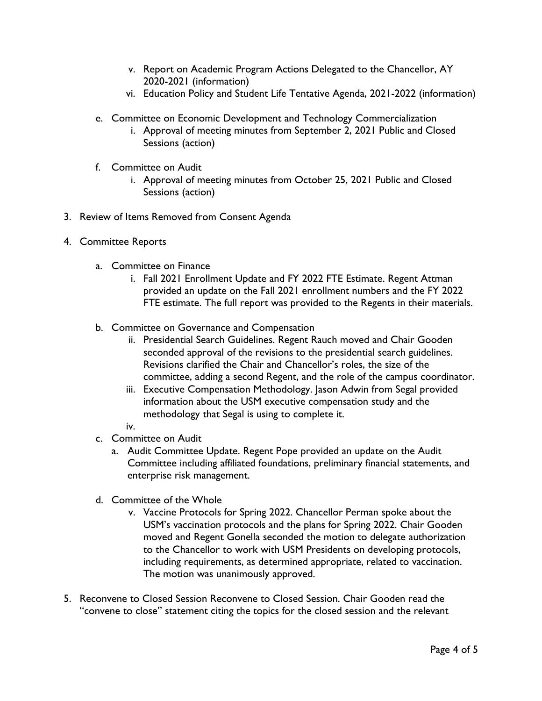- v. Report on Academic Program Actions Delegated to the Chancellor, AY 2020-2021 (information)
- vi. Education Policy and Student Life Tentative Agenda, 2021-2022 (information)
- e. Committee on Economic Development and Technology Commercialization
	- i. Approval of meeting minutes from September 2, 2021 Public and Closed Sessions (action)
- f. Committee on Audit
	- i. Approval of meeting minutes from October 25, 2021 Public and Closed Sessions (action)
- 3. Review of Items Removed from Consent Agenda
- 4. Committee Reports
	- a. Committee on Finance
		- i. Fall 2021 Enrollment Update and FY 2022 FTE Estimate. Regent Attman provided an update on the Fall 2021 enrollment numbers and the FY 2022 FTE estimate. The full report was provided to the Regents in their materials.
	- b. Committee on Governance and Compensation
		- ii. Presidential Search Guidelines. Regent Rauch moved and Chair Gooden seconded approval of the revisions to the presidential search guidelines. Revisions clarified the Chair and Chancellor's roles, the size of the committee, adding a second Regent, and the role of the campus coordinator.
		- iii. Executive Compensation Methodology. Jason Adwin from Segal provided information about the USM executive compensation study and the methodology that Segal is using to complete it.
		- iv.
	- c. Committee on Audit
		- a. Audit Committee Update. Regent Pope provided an update on the Audit Committee including affiliated foundations, preliminary financial statements, and enterprise risk management.
	- d. Committee of the Whole
		- v. Vaccine Protocols for Spring 2022. Chancellor Perman spoke about the USM's vaccination protocols and the plans for Spring 2022. Chair Gooden moved and Regent Gonella seconded the motion to delegate authorization to the Chancellor to work with USM Presidents on developing protocols, including requirements, as determined appropriate, related to vaccination. The motion was unanimously approved.
- 5. Reconvene to Closed Session Reconvene to Closed Session. Chair Gooden read the "convene to close" statement citing the topics for the closed session and the relevant